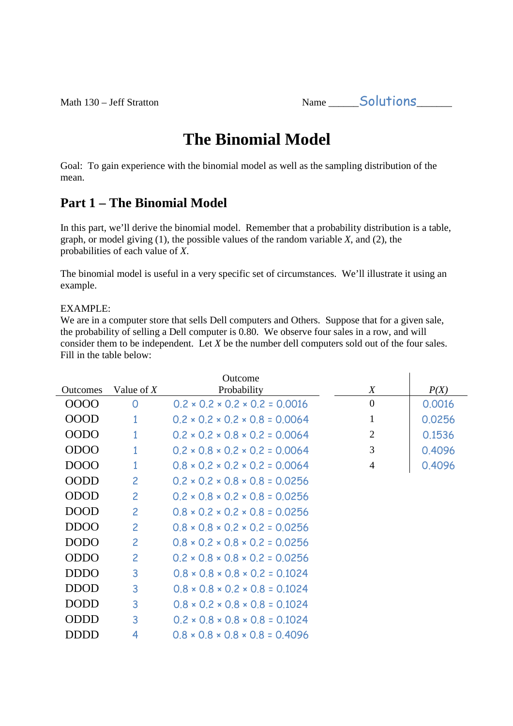Math 130 – Jeff Stratton Name \_\_\_\_\_\_Solutions\_\_\_\_\_\_\_

# **The Binomial Model**

Goal: To gain experience with the binomial model as well as the sampling distribution of the mean.

### **Part 1 – The Binomial Model**

In this part, we'll derive the binomial model. Remember that a probability distribution is a table, graph, or model giving (1), the possible values of the random variable *X*, and (2), the probabilities of each value of *X*.

The binomial model is useful in a very specific set of circumstances. We'll illustrate it using an example.

#### EXAMPLE:

We are in a computer store that sells Dell computers and Others. Suppose that for a given sale, the probability of selling a Dell computer is 0.80. We observe four sales in a row, and will consider them to be independent. Let *X* be the number dell computers sold out of the four sales. Fill in the table below:

|                 |                | Outcome                                         |                |        |
|-----------------|----------------|-------------------------------------------------|----------------|--------|
| <b>Outcomes</b> | Value of $X$   | Probability                                     | X              | P(X)   |
| 0000            | O              | $0.2 \times 0.2 \times 0.2 \times 0.2 = 0.0016$ | $\theta$       | 0.0016 |
| <b>OOOD</b>     | 1              | $0.2 \times 0.2 \times 0.2 \times 0.8 = 0.0064$ | 1              | 0.0256 |
| <b>OODO</b>     | 1              | $0.2 \times 0.2 \times 0.8 \times 0.2 = 0.0064$ | $\overline{2}$ | 0.1536 |
| <b>ODOO</b>     | 1              | $0.2 \times 0.8 \times 0.2 \times 0.2 = 0.0064$ | 3              | 0.4096 |
| DOOO            | $\overline{1}$ | $0.8 \times 0.2 \times 0.2 \times 0.2 = 0.0064$ | $\overline{4}$ | 0.4096 |
| <b>OODD</b>     | $\overline{c}$ | $0.2 \times 0.2 \times 0.8 \times 0.8 = 0.0256$ |                |        |
| <b>ODOD</b>     | $\overline{2}$ | $0.2 \times 0.8 \times 0.2 \times 0.8 = 0.0256$ |                |        |
| <b>DOOD</b>     | $\overline{c}$ | $0.8 \times 0.2 \times 0.2 \times 0.8 = 0.0256$ |                |        |
| <b>DDOO</b>     | $\overline{c}$ | $0.8 \times 0.8 \times 0.2 \times 0.2 = 0.0256$ |                |        |
| <b>DODO</b>     | $\overline{c}$ | $0.8 \times 0.2 \times 0.8 \times 0.2 = 0.0256$ |                |        |
| <b>ODDO</b>     | $\overline{c}$ | $0.2 \times 0.8 \times 0.8 \times 0.2 = 0.0256$ |                |        |
| <b>DDDO</b>     | 3              | $0.8 \times 0.8 \times 0.8 \times 0.2 = 0.1024$ |                |        |
| <b>DDOD</b>     | 3              | $0.8 \times 0.8 \times 0.2 \times 0.8 = 0.1024$ |                |        |
| <b>DODD</b>     | 3              | $0.8 \times 0.2 \times 0.8 \times 0.8 = 0.1024$ |                |        |
| <b>ODDD</b>     | 3              | $0.2 \times 0.8 \times 0.8 \times 0.8 = 0.1024$ |                |        |
| <b>DDDD</b>     | 4              | $0.8 \times 0.8 \times 0.8 \times 0.8 = 0.4096$ |                |        |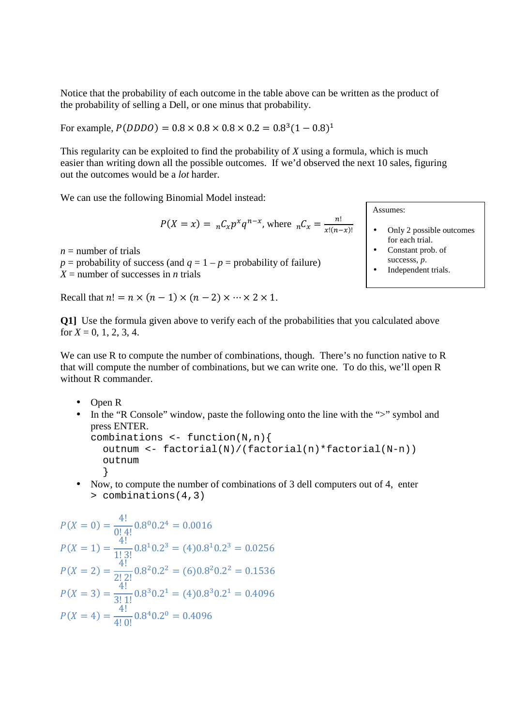Notice that the probability of each outcome in the table above can be written as the product of the probability of selling a Dell, or one minus that probability.

For example,  $P(DDDO) = 0.8 \times 0.8 \times 0.8 \times 0.2 = 0.8^3 (1 - 0.8)^1$ 

This regularity can be exploited to find the probability of *X* using a formula, which is much easier than writing down all the possible outcomes. If we'd observed the next 10 sales, figuring out the outcomes would be a *lot* harder.

We can use the following Binomial Model instead:

$$
P(X = x) = {}_{n}C_{x}p^{x}q^{n-x}, \text{ where } {}_{n}C_{x} = \frac{n!}{x!(n-x)!}
$$

 $n =$  number of trials  $p =$  probability of success (and  $q = 1 - p =$  probability of failure)  $X =$  number of successes in *n* trials

Recall that  $n! = n \times (n-1) \times (n-2) \times \cdots \times 2 \times 1$ .

Assumes:

- Only 2 possible outcomes for each trial.
- Constant prob. of successs, *p*.
- Independent trials.

**Q1]** Use the formula given above to verify each of the probabilities that you calculated above for  $X = 0, 1, 2, 3, 4$ .

We can use R to compute the number of combinations, though. There's no function native to R that will compute the number of combinations, but we can write one. To do this, we'll open R without R commander.

- Open R
- In the "R Console" window, paste the following onto the line with the ">" symbol and press ENTER.

```
combinations \leftarrow function(N,n){
   outnum <- factorial(N)/(factorial(n)*factorial(N-n)) 
   outnum 
   }
```
• Now, to compute the number of combinations of 3 dell computers out of 4, enter > combinations(4,3)

$$
P(X = 0) = \frac{4!}{0! \, 4!} 0.8^0 0.2^4 = 0.0016
$$
  
\n
$$
P(X = 1) = \frac{4!}{1! \, 3!} 0.8^1 0.2^3 = (4) 0.8^1 0.2^3 = 0.0256
$$
  
\n
$$
P(X = 2) = \frac{4!}{2! \, 2!} 0.8^2 0.2^2 = (6) 0.8^2 0.2^2 = 0.1536
$$
  
\n
$$
P(X = 3) = \frac{4!}{3! \, 1!} 0.8^3 0.2^1 = (4) 0.8^3 0.2^1 = 0.4096
$$
  
\n
$$
P(X = 4) = \frac{4!}{4! \, 0!} 0.8^4 0.2^0 = 0.4096
$$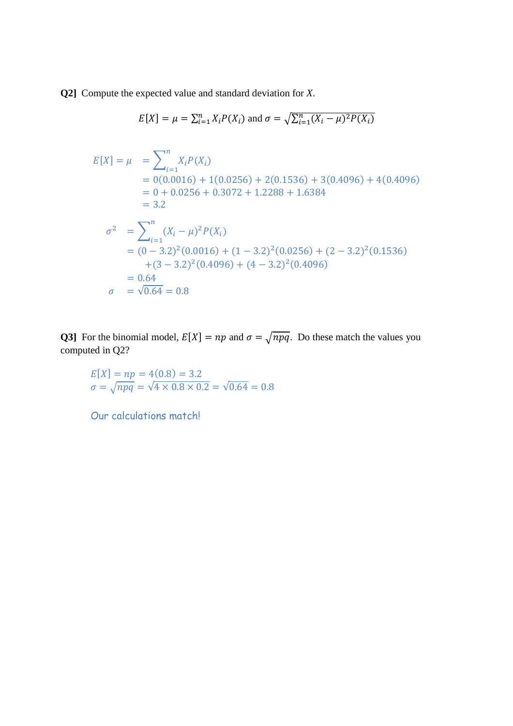**Q2]** Compute the expected value and standard deviation for *X*.

$$
E[X] = \mu = \sum_{i=1}^{n} X_i P(X_i)
$$
 and  $\sigma = \sqrt{\sum_{i=1}^{n} (X_i - \mu)^2 P(X_i)}$ 

$$
E[X] = \mu = \sum_{i=1}^{n} X_i P(X_i)
$$
  
= 0(0.0016) + 1(0.0256) + 2(0.1536) + 3(0.4096) + 4(0.4096)  
= 0 + 0.0256 + 0.3072 + 1.2288 + 1.6384  
= 3.2  

$$
\sigma^2 = \sum_{i=1}^{n} (X_i - \mu)^2 P(X_i)
$$
  
= (0 - 3.2)<sup>2</sup>(0.0016) + (1 - 3.2)<sup>2</sup>(0.0256) + (2 - 3.2)<sup>2</sup>(0.1536)  
+ (3 - 3.2)<sup>2</sup>(0.4096) + (4 - 3.2)<sup>2</sup>(0.4096)  
= 0.64  

$$
\sigma = \sqrt{0.64} = 0.8
$$

**Q3**] For the binomial model,  $E[X] = np$  and  $\sigma = \sqrt{npq}$ . Do these match the values you computed in Q2?

 $E[X] = np = 4(0.8) = 3.2$  $\sigma = \sqrt{npq} = \sqrt{4 \times 0.8 \times 0.2} = \sqrt{0.64} = 0.8$ 

Our calculations match!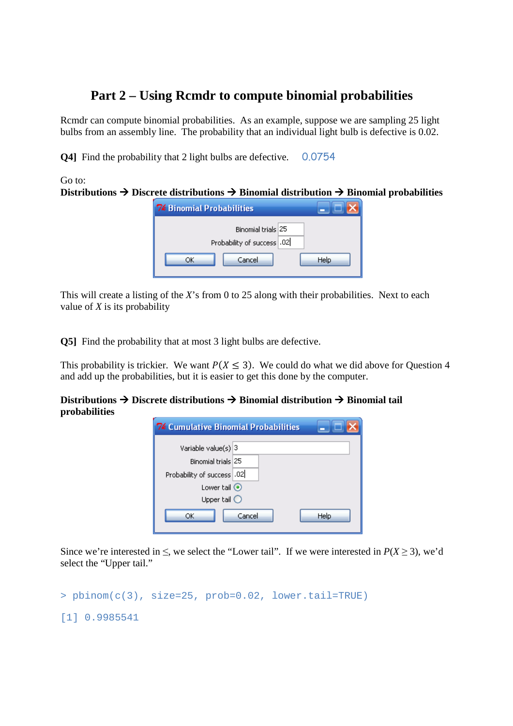### **Part 2 – Using Rcmdr to compute binomial probabilities**

Rcmdr can compute binomial probabilities. As an example, suppose we are sampling 25 light bulbs from an assembly line. The probability that an individual light bulb is defective is 0.02.

**Q4]** Find the probability that 2 light bulbs are defective. 0.0754

Go to:

Distributions  $\rightarrow$  Discrete distributions  $\rightarrow$  Binomial distribution  $\rightarrow$  Binomial probabilities

| <b>7% Binomial Probabilities</b>                 |      |
|--------------------------------------------------|------|
| Binomial trials 25<br>Probability of success .02 |      |
| Cancel<br>ΩK                                     | Help |

This will create a listing of the *X*'s from 0 to 25 along with their probabilities. Next to each value of *X* is its probability

**Q5]** Find the probability that at most 3 light bulbs are defective.

This probability is trickier. We want  $P(X \le 3)$ . We could do what we did above for Question 4 and add up the probabilities, but it is easier to get this done by the computer.

**Distributions Discrete distributions Binomial distribution Binomial tail probabilities**

| <b>7% Cumulative Binomial Probabilities</b> |                |  |  |  |
|---------------------------------------------|----------------|--|--|--|
| Variable value(s) 3                         |                |  |  |  |
| Binomial trials 25                          |                |  |  |  |
| Probability of success .02                  |                |  |  |  |
| Lower tail $\odot$                          |                |  |  |  |
| Upper tail $\bigcirc$                       |                |  |  |  |
| ОК                                          | Help<br>Cancel |  |  |  |

Since we're interested in  $\leq$ , we select the "Lower tail". If we were interested in  $P(X \geq 3)$ , we'd select the "Upper tail."

```
> pbinom(c(3), size=25, prob=0.02, lower.tail=TRUE)
[1] 0.9985541
```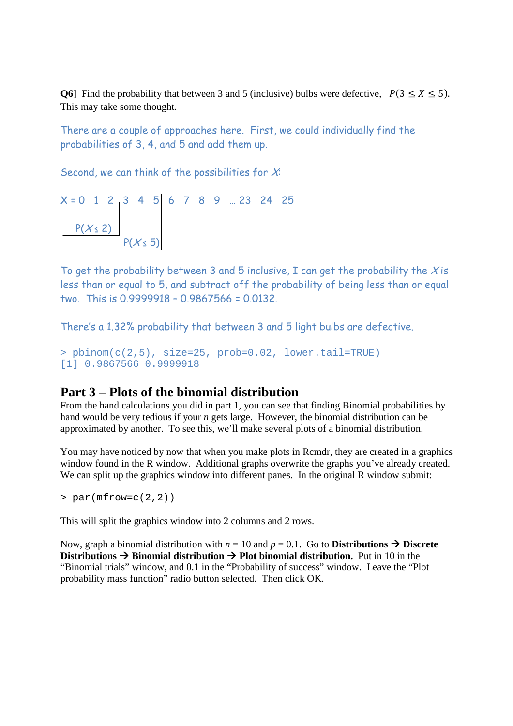**Q6**] Find the probability that between 3 and 5 (inclusive) bulbs were defective,  $P(3 \le X \le 5)$ . This may take some thought.

There are a couple of approaches here. First, we could individually find the probabilities of 3, 4, and 5 and add them up.

Second, we can think of the possibilities for  $X$ :

$$
X = 0 \quad 1 \quad 2 \quad 3 \quad 4 \quad 5 \quad 6 \quad 7 \quad 8 \quad 9 \quad ... \quad 23 \quad 24 \quad 25
$$
\n
$$
\begin{array}{c|cccc}\n & P(X \le 2) & & \\
 & P(X \le 5)\n\end{array}
$$

To get the probability between 3 and 5 inclusive, I can get the probability the X is less than or equal to 5, and subtract off the probability of being less than or equal two. This is 0.9999918 – 0.9867566 = 0.0132.

There's a 1.32% probability that between 3 and 5 light bulbs are defective.

```
> pbinom(c(2,5), size=25, prob=0.02, lower.tail=TRUE) 
[1] 0.9867566 0.9999918
```
#### **Part 3 – Plots of the binomial distribution**

From the hand calculations you did in part 1, you can see that finding Binomial probabilities by hand would be very tedious if your *n* gets large. However, the binomial distribution can be approximated by another. To see this, we'll make several plots of a binomial distribution.

You may have noticed by now that when you make plots in Rcmdr, they are created in a graphics window found in the R window. Additional graphs overwrite the graphs you've already created. We can split up the graphics window into different panes. In the original R window submit:

 $>$  par(mfrow=c(2,2))

This will split the graphics window into 2 columns and 2 rows.

Now, graph a binomial distribution with  $n = 10$  and  $p = 0.1$ . Go to **Distributions**  $\rightarrow$  **Discrete Distributions**  $\rightarrow$  **Binomial distribution**  $\rightarrow$  **Plot binomial distribution.** Put in 10 in the "Binomial trials" window, and 0.1 in the "Probability of success" window. Leave the "Plot probability mass function" radio button selected. Then click OK.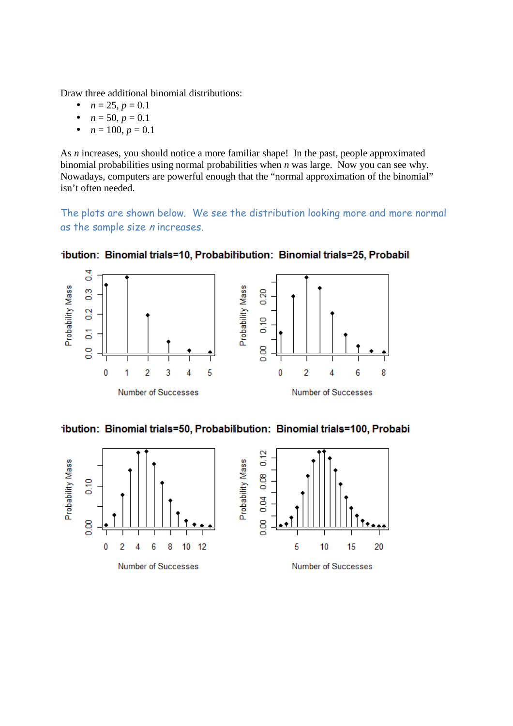Draw three additional binomial distributions:

- $n = 25, p = 0.1$
- $n = 50, p = 0.1$
- $n = 100, p = 0.1$

As *n* increases, you should notice a more familiar shape! In the past, people approximated binomial probabilities using normal probabilities when *n* was large. Now you can see why. Nowadays, computers are powerful enough that the "normal approximation of the binomial" isn't often needed.

The plots are shown below. We see the distribution looking more and more normal as the sample size n increases.



ibution: Binomial trials=10, Probabilibution: Binomial trials=25, Probabil

ibution: Binomial trials=50, Probabilibution: Binomial trials=100, Probabi

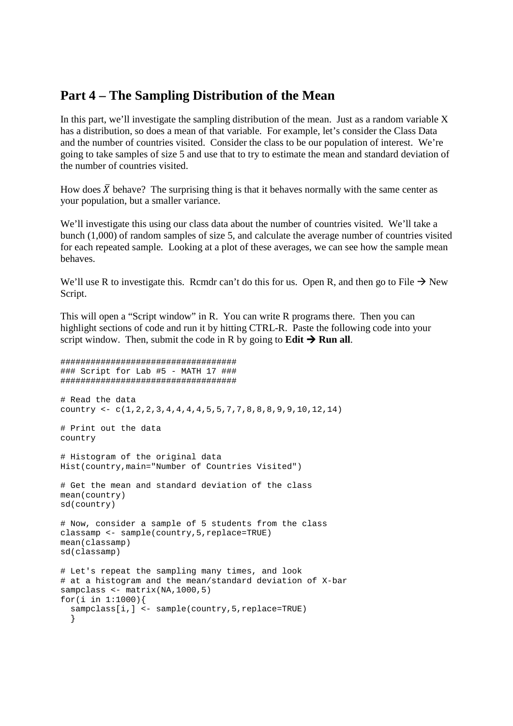#### **Part 4 – The Sampling Distribution of the Mean**

In this part, we'll investigate the sampling distribution of the mean. Just as a random variable X has a distribution, so does a mean of that variable. For example, let's consider the Class Data and the number of countries visited. Consider the class to be our population of interest. We're going to take samples of size 5 and use that to try to estimate the mean and standard deviation of the number of countries visited.

How does  $\bar{X}$  behave? The surprising thing is that it behaves normally with the same center as your population, but a smaller variance.

We'll investigate this using our class data about the number of countries visited. We'll take a bunch (1,000) of random samples of size 5, and calculate the average number of countries visited for each repeated sample. Looking at a plot of these averages, we can see how the sample mean behaves.

We'll use R to investigate this. Rcmdr can't do this for us. Open R, and then go to File  $\rightarrow$  New Script.

This will open a "Script window" in R. You can write R programs there. Then you can highlight sections of code and run it by hitting CTRL-R. Paste the following code into your script window. Then, submit the code in R by going to **Edit**  $\rightarrow$  **Run all**.

```
################################### 
### Script for Lab #5 - MATH 17 ### 
################################### 
# Read the data 
country <- c(1,2,2,3,4,4,4,4,5,5,7,7,8,8,8,9,9,10,12,14) 
# Print out the data 
country 
# Histogram of the original data 
Hist(country,main="Number of Countries Visited") 
# Get the mean and standard deviation of the class 
mean(country) 
sd(country) 
# Now, consider a sample of 5 students from the class 
classamp <- sample(country,5,replace=TRUE) 
mean(classamp) 
sd(classamp) 
# Let's repeat the sampling many times, and look 
# at a histogram and the mean/standard deviation of X-bar 
sampclass <- matrix(NA,1000,5)
for(i in 1:1000){ 
  sampclass[i,] <- sample(country, 5, replace=TRUE)
 }
```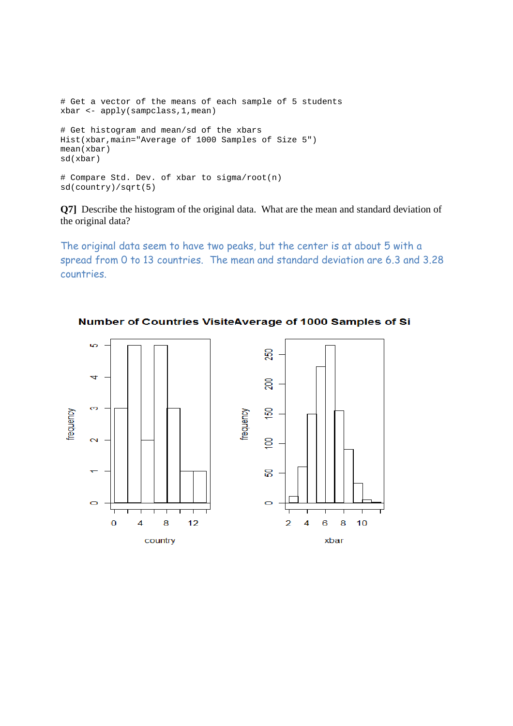```
# Get a vector of the means of each sample of 5 students 
xbar <- apply(sampclass,1,mean) 
# Get histogram and mean/sd of the xbars 
Hist(xbar,main="Average of 1000 Samples of Size 5")
mean(xbar) 
sd(xbar) 
# Compare Std. Dev. of xbar to sigma/root(n) 
sd(country)/sqrt(5)
```
**Q7]** Describe the histogram of the original data. What are the mean and standard deviation of the original data?

The original data seem to have two peaks, but the center is at about 5 with a spread from 0 to 13 countries. The mean and standard deviation are 6.3 and 3.28 countries.



Number of Countries VisiteAverage of 1000 Samples of Si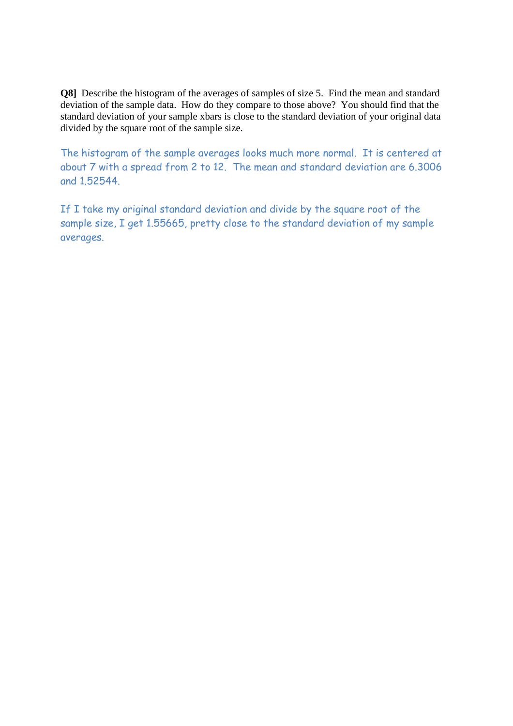**Q8**] Describe the histogram of the averages of samples of size 5. Find the mean and standard deviation of the sample data. How do they compare to those above? You should find that the standard deviation of your sample xbars is close to the standard deviation of your original data divided by the square root of the sample size.

The histogram of the sample averages looks much more normal. It is centered at about 7 with a spread from 2 to 12. The mean and standard deviation are 6.3006 and 1.52544.

If I take my original standard deviation and divide by the square root of the sample size, I get 1.55665, pretty close to the standard deviation of my sample averages.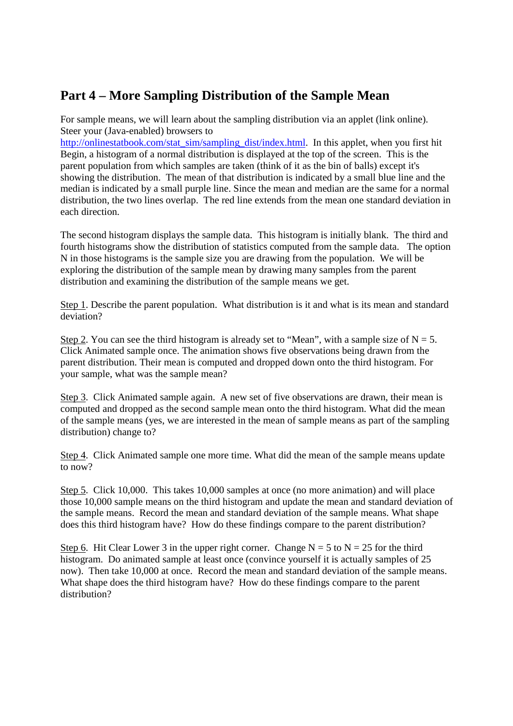## **Part 4 – More Sampling Distribution of the Sample Mean**

For sample means, we will learn about the sampling distribution via an applet (link online). Steer your (Java-enabled) browsers to

http://onlinestatbook.com/stat\_sim/sampling\_dist/index.html. In this applet, when you first hit Begin, a histogram of a normal distribution is displayed at the top of the screen. This is the parent population from which samples are taken (think of it as the bin of balls) except it's showing the distribution. The mean of that distribution is indicated by a small blue line and the median is indicated by a small purple line. Since the mean and median are the same for a normal distribution, the two lines overlap. The red line extends from the mean one standard deviation in each direction.

The second histogram displays the sample data. This histogram is initially blank. The third and fourth histograms show the distribution of statistics computed from the sample data. The option N in those histograms is the sample size you are drawing from the population. We will be exploring the distribution of the sample mean by drawing many samples from the parent distribution and examining the distribution of the sample means we get.

Step 1. Describe the parent population. What distribution is it and what is its mean and standard deviation?

Step 2. You can see the third histogram is already set to "Mean", with a sample size of  $N = 5$ . Click Animated sample once. The animation shows five observations being drawn from the parent distribution. Their mean is computed and dropped down onto the third histogram. For your sample, what was the sample mean?

Step 3. Click Animated sample again. A new set of five observations are drawn, their mean is computed and dropped as the second sample mean onto the third histogram. What did the mean of the sample means (yes, we are interested in the mean of sample means as part of the sampling distribution) change to?

Step 4. Click Animated sample one more time. What did the mean of the sample means update to now?

Step 5. Click 10,000. This takes 10,000 samples at once (no more animation) and will place those 10,000 sample means on the third histogram and update the mean and standard deviation of the sample means. Record the mean and standard deviation of the sample means. What shape does this third histogram have? How do these findings compare to the parent distribution?

Step 6. Hit Clear Lower 3 in the upper right corner. Change  $N = 5$  to  $N = 25$  for the third histogram. Do animated sample at least once (convince yourself it is actually samples of 25 now). Then take 10,000 at once. Record the mean and standard deviation of the sample means. What shape does the third histogram have? How do these findings compare to the parent distribution?